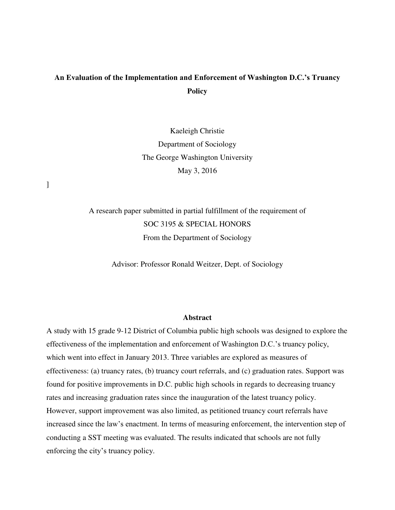# **An Evaluation of the Implementation and Enforcement of Washington D.C.'s Truancy Policy**

Kaeleigh Christie Department of Sociology The George Washington University May 3, 2016

]

A research paper submitted in partial fulfillment of the requirement of SOC 3195 & SPECIAL HONORS From the Department of Sociology

Advisor: Professor Ronald Weitzer, Dept. of Sociology

#### **Abstract**

A study with 15 grade 9-12 District of Columbia public high schools was designed to explore the effectiveness of the implementation and enforcement of Washington D.C.'s truancy policy, which went into effect in January 2013. Three variables are explored as measures of effectiveness: (a) truancy rates, (b) truancy court referrals, and (c) graduation rates. Support was found for positive improvements in D.C. public high schools in regards to decreasing truancy rates and increasing graduation rates since the inauguration of the latest truancy policy. However, support improvement was also limited, as petitioned truancy court referrals have increased since the law's enactment. In terms of measuring enforcement, the intervention step of conducting a SST meeting was evaluated. The results indicated that schools are not fully enforcing the city's truancy policy.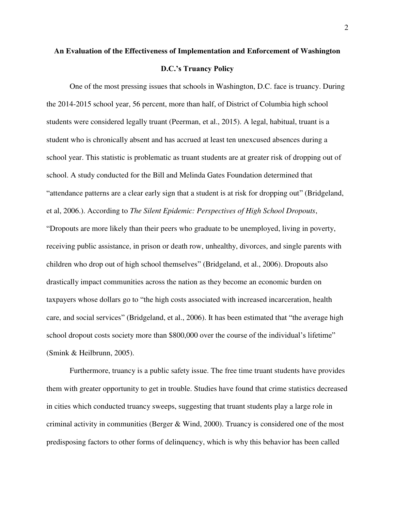# **An Evaluation of the Effectiveness of Implementation and Enforcement of Washington D.C.'s Truancy Policy**

One of the most pressing issues that schools in Washington, D.C. face is truancy. During the 2014-2015 school year, 56 percent, more than half, of District of Columbia high school students were considered legally truant (Peerman, et al., 2015). A legal, habitual, truant is a student who is chronically absent and has accrued at least ten unexcused absences during a school year. This statistic is problematic as truant students are at greater risk of dropping out of school. A study conducted for the Bill and Melinda Gates Foundation determined that "attendance patterns are a clear early sign that a student is at risk for dropping out" (Bridgeland, et al, 2006.). According to *The Silent Epidemic: Perspectives of High School Dropouts*, "Dropouts are more likely than their peers who graduate to be unemployed, living in poverty, receiving public assistance, in prison or death row, unhealthy, divorces, and single parents with children who drop out of high school themselves" (Bridgeland, et al., 2006). Dropouts also drastically impact communities across the nation as they become an economic burden on taxpayers whose dollars go to "the high costs associated with increased incarceration, health care, and social services" (Bridgeland, et al., 2006). It has been estimated that "the average high school dropout costs society more than \$800,000 over the course of the individual's lifetime" (Smink & Heilbrunn, 2005).

 Furthermore, truancy is a public safety issue. The free time truant students have provides them with greater opportunity to get in trouble. Studies have found that crime statistics decreased in cities which conducted truancy sweeps, suggesting that truant students play a large role in criminal activity in communities (Berger  $&$  Wind, 2000). Truancy is considered one of the most predisposing factors to other forms of delinquency, which is why this behavior has been called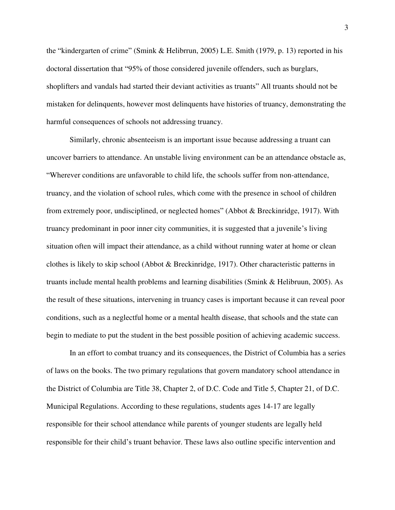the "kindergarten of crime" (Smink & Helibrrun, 2005) L.E. Smith (1979, p. 13) reported in his doctoral dissertation that "95% of those considered juvenile offenders, such as burglars, shoplifters and vandals had started their deviant activities as truants" All truants should not be mistaken for delinquents, however most delinquents have histories of truancy, demonstrating the harmful consequences of schools not addressing truancy.

 Similarly, chronic absenteeism is an important issue because addressing a truant can uncover barriers to attendance. An unstable living environment can be an attendance obstacle as, "Wherever conditions are unfavorable to child life, the schools suffer from non-attendance, truancy, and the violation of school rules, which come with the presence in school of children from extremely poor, undisciplined, or neglected homes" (Abbot & Breckinridge, 1917). With truancy predominant in poor inner city communities, it is suggested that a juvenile's living situation often will impact their attendance, as a child without running water at home or clean clothes is likely to skip school (Abbot & Breckinridge, 1917). Other characteristic patterns in truants include mental health problems and learning disabilities (Smink & Helibruun, 2005). As the result of these situations, intervening in truancy cases is important because it can reveal poor conditions, such as a neglectful home or a mental health disease, that schools and the state can begin to mediate to put the student in the best possible position of achieving academic success.

In an effort to combat truancy and its consequences, the District of Columbia has a series of laws on the books. The two primary regulations that govern mandatory school attendance in the District of Columbia are Title 38, Chapter 2, of D.C. Code and Title 5, Chapter 21, of D.C. Municipal Regulations. According to these regulations, students ages 14-17 are legally responsible for their school attendance while parents of younger students are legally held responsible for their child's truant behavior. These laws also outline specific intervention and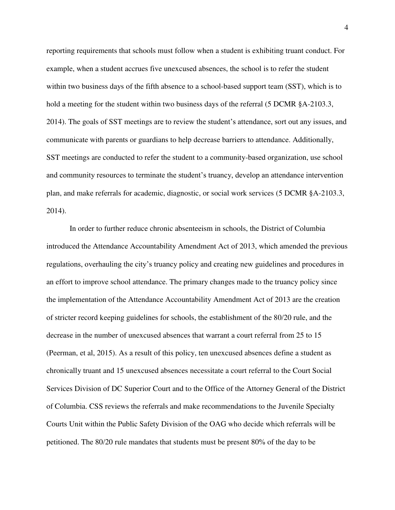reporting requirements that schools must follow when a student is exhibiting truant conduct. For example, when a student accrues five unexcused absences, the school is to refer the student within two business days of the fifth absence to a school-based support team (SST), which is to hold a meeting for the student within two business days of the referral (5 DCMR §A-2103.3, 2014). The goals of SST meetings are to review the student's attendance, sort out any issues, and communicate with parents or guardians to help decrease barriers to attendance. Additionally, SST meetings are conducted to refer the student to a community-based organization, use school and community resources to terminate the student's truancy, develop an attendance intervention plan, and make referrals for academic, diagnostic, or social work services (5 DCMR §A-2103.3, 2014).

In order to further reduce chronic absenteeism in schools, the District of Columbia introduced the Attendance Accountability Amendment Act of 2013, which amended the previous regulations, overhauling the city's truancy policy and creating new guidelines and procedures in an effort to improve school attendance. The primary changes made to the truancy policy since the implementation of the Attendance Accountability Amendment Act of 2013 are the creation of stricter record keeping guidelines for schools, the establishment of the 80/20 rule, and the decrease in the number of unexcused absences that warrant a court referral from 25 to 15 (Peerman, et al, 2015). As a result of this policy, ten unexcused absences define a student as chronically truant and 15 unexcused absences necessitate a court referral to the Court Social Services Division of DC Superior Court and to the Office of the Attorney General of the District of Columbia. CSS reviews the referrals and make recommendations to the Juvenile Specialty Courts Unit within the Public Safety Division of the OAG who decide which referrals will be petitioned. The 80/20 rule mandates that students must be present 80% of the day to be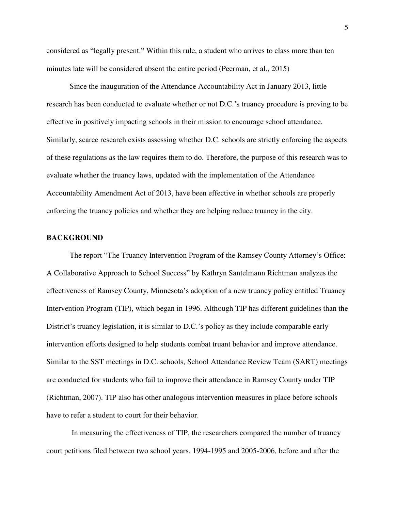considered as "legally present." Within this rule, a student who arrives to class more than ten minutes late will be considered absent the entire period (Peerman, et al., 2015)

Since the inauguration of the Attendance Accountability Act in January 2013, little research has been conducted to evaluate whether or not D.C.'s truancy procedure is proving to be effective in positively impacting schools in their mission to encourage school attendance. Similarly, scarce research exists assessing whether D.C. schools are strictly enforcing the aspects of these regulations as the law requires them to do. Therefore, the purpose of this research was to evaluate whether the truancy laws, updated with the implementation of the Attendance Accountability Amendment Act of 2013, have been effective in whether schools are properly enforcing the truancy policies and whether they are helping reduce truancy in the city.

#### **BACKGROUND**

The report "The Truancy Intervention Program of the Ramsey County Attorney's Office: A Collaborative Approach to School Success" by Kathryn Santelmann Richtman analyzes the effectiveness of Ramsey County, Minnesota's adoption of a new truancy policy entitled Truancy Intervention Program (TIP), which began in 1996. Although TIP has different guidelines than the District's truancy legislation, it is similar to D.C.'s policy as they include comparable early intervention efforts designed to help students combat truant behavior and improve attendance. Similar to the SST meetings in D.C. schools, School Attendance Review Team (SART) meetings are conducted for students who fail to improve their attendance in Ramsey County under TIP (Richtman, 2007). TIP also has other analogous intervention measures in place before schools have to refer a student to court for their behavior.

 In measuring the effectiveness of TIP, the researchers compared the number of truancy court petitions filed between two school years, 1994-1995 and 2005-2006, before and after the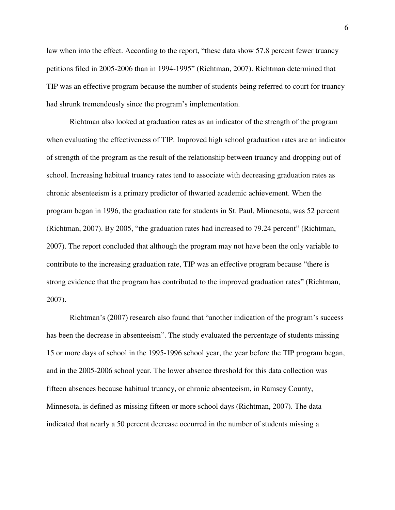law when into the effect. According to the report, "these data show 57.8 percent fewer truancy petitions filed in 2005-2006 than in 1994-1995" (Richtman, 2007). Richtman determined that TIP was an effective program because the number of students being referred to court for truancy had shrunk tremendously since the program's implementation.

Richtman also looked at graduation rates as an indicator of the strength of the program when evaluating the effectiveness of TIP. Improved high school graduation rates are an indicator of strength of the program as the result of the relationship between truancy and dropping out of school. Increasing habitual truancy rates tend to associate with decreasing graduation rates as chronic absenteeism is a primary predictor of thwarted academic achievement. When the program began in 1996, the graduation rate for students in St. Paul, Minnesota, was 52 percent (Richtman, 2007). By 2005, "the graduation rates had increased to 79.24 percent" (Richtman, 2007). The report concluded that although the program may not have been the only variable to contribute to the increasing graduation rate, TIP was an effective program because "there is strong evidence that the program has contributed to the improved graduation rates" (Richtman, 2007).

Richtman's (2007) research also found that "another indication of the program's success has been the decrease in absenteeism". The study evaluated the percentage of students missing 15 or more days of school in the 1995-1996 school year, the year before the TIP program began, and in the 2005-2006 school year. The lower absence threshold for this data collection was fifteen absences because habitual truancy, or chronic absenteeism, in Ramsey County, Minnesota, is defined as missing fifteen or more school days (Richtman, 2007). The data indicated that nearly a 50 percent decrease occurred in the number of students missing a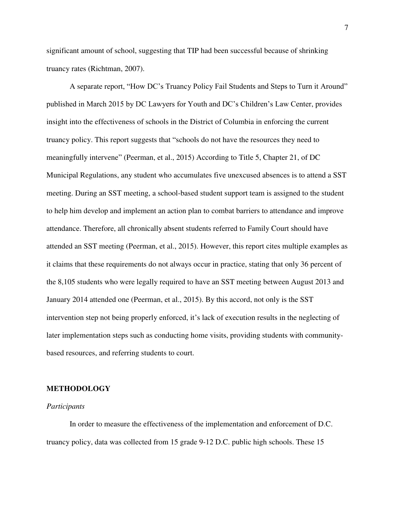significant amount of school, suggesting that TIP had been successful because of shrinking truancy rates (Richtman, 2007).

A separate report, "How DC's Truancy Policy Fail Students and Steps to Turn it Around" published in March 2015 by DC Lawyers for Youth and DC's Children's Law Center, provides insight into the effectiveness of schools in the District of Columbia in enforcing the current truancy policy. This report suggests that "schools do not have the resources they need to meaningfully intervene" (Peerman, et al., 2015) According to Title 5, Chapter 21, of DC Municipal Regulations, any student who accumulates five unexcused absences is to attend a SST meeting. During an SST meeting, a school-based student support team is assigned to the student to help him develop and implement an action plan to combat barriers to attendance and improve attendance. Therefore, all chronically absent students referred to Family Court should have attended an SST meeting (Peerman, et al., 2015). However, this report cites multiple examples as it claims that these requirements do not always occur in practice, stating that only 36 percent of the 8,105 students who were legally required to have an SST meeting between August 2013 and January 2014 attended one (Peerman, et al., 2015). By this accord, not only is the SST intervention step not being properly enforced, it's lack of execution results in the neglecting of later implementation steps such as conducting home visits, providing students with communitybased resources, and referring students to court.

#### **METHODOLOGY**

#### *Participants*

In order to measure the effectiveness of the implementation and enforcement of D.C. truancy policy, data was collected from 15 grade 9-12 D.C. public high schools. These 15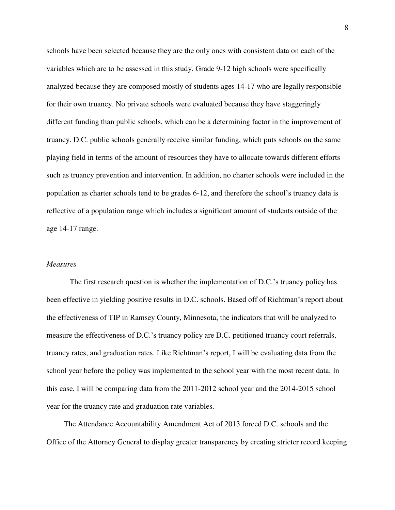schools have been selected because they are the only ones with consistent data on each of the variables which are to be assessed in this study. Grade 9-12 high schools were specifically analyzed because they are composed mostly of students ages 14-17 who are legally responsible for their own truancy. No private schools were evaluated because they have staggeringly different funding than public schools, which can be a determining factor in the improvement of truancy. D.C. public schools generally receive similar funding, which puts schools on the same playing field in terms of the amount of resources they have to allocate towards different efforts such as truancy prevention and intervention. In addition, no charter schools were included in the population as charter schools tend to be grades 6-12, and therefore the school's truancy data is reflective of a population range which includes a significant amount of students outside of the age 14-17 range.

#### *Measures*

The first research question is whether the implementation of D.C.'s truancy policy has been effective in yielding positive results in D.C. schools. Based off of Richtman's report about the effectiveness of TIP in Ramsey County, Minnesota, the indicators that will be analyzed to measure the effectiveness of D.C.'s truancy policy are D.C. petitioned truancy court referrals, truancy rates, and graduation rates. Like Richtman's report, I will be evaluating data from the school year before the policy was implemented to the school year with the most recent data. In this case, I will be comparing data from the 2011-2012 school year and the 2014-2015 school year for the truancy rate and graduation rate variables.

The Attendance Accountability Amendment Act of 2013 forced D.C. schools and the Office of the Attorney General to display greater transparency by creating stricter record keeping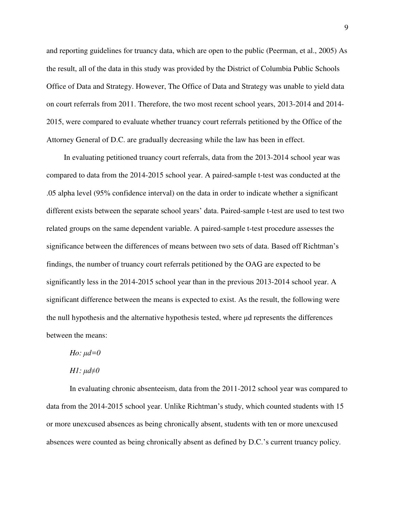and reporting guidelines for truancy data, which are open to the public (Peerman, et al., 2005) As the result, all of the data in this study was provided by the District of Columbia Public Schools Office of Data and Strategy. However, The Office of Data and Strategy was unable to yield data on court referrals from 2011. Therefore, the two most recent school years, 2013-2014 and 2014- 2015, were compared to evaluate whether truancy court referrals petitioned by the Office of the Attorney General of D.C. are gradually decreasing while the law has been in effect.

In evaluating petitioned truancy court referrals, data from the 2013-2014 school year was compared to data from the 2014-2015 school year. A paired-sample t-test was conducted at the .05 alpha level (95% confidence interval) on the data in order to indicate whether a significant different exists between the separate school years' data. Paired-sample t-test are used to test two related groups on the same dependent variable. A paired-sample t-test procedure assesses the significance between the differences of means between two sets of data. Based off Richtman's findings, the number of truancy court referrals petitioned by the OAG are expected to be significantly less in the 2014-2015 school year than in the previous 2013-2014 school year. A significant difference between the means is expected to exist. As the result, the following were the null hypothesis and the alternative hypothesis tested, where μd represents the differences between the means:

*Ho:*  $\mu d = 0$ 

*H1: μd*≠θ

In evaluating chronic absenteeism, data from the 2011-2012 school year was compared to data from the 2014-2015 school year. Unlike Richtman's study, which counted students with 15 or more unexcused absences as being chronically absent, students with ten or more unexcused absences were counted as being chronically absent as defined by D.C.'s current truancy policy.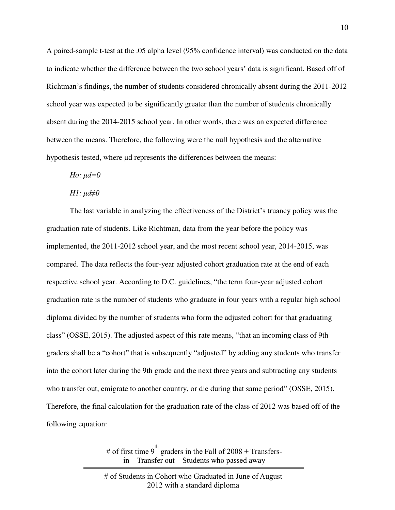A paired-sample t-test at the .05 alpha level (95% confidence interval) was conducted on the data to indicate whether the difference between the two school years' data is significant. Based off of Richtman's findings, the number of students considered chronically absent during the 2011-2012 school year was expected to be significantly greater than the number of students chronically absent during the 2014-2015 school year. In other words, there was an expected difference between the means. Therefore, the following were the null hypothesis and the alternative hypothesis tested, where μd represents the differences between the means:

### *Ho:*  $\mu d = 0$

#### *H1: μd*≠*0*

The last variable in analyzing the effectiveness of the District's truancy policy was the graduation rate of students. Like Richtman, data from the year before the policy was implemented, the 2011-2012 school year, and the most recent school year, 2014-2015, was compared. The data reflects the four-year adjusted cohort graduation rate at the end of each respective school year. According to D.C. guidelines, "the term four-year adjusted cohort graduation rate is the number of students who graduate in four years with a regular high school diploma divided by the number of students who form the adjusted cohort for that graduating class" (OSSE, 2015). The adjusted aspect of this rate means, "that an incoming class of 9th graders shall be a "cohort" that is subsequently "adjusted" by adding any students who transfer into the cohort later during the 9th grade and the next three years and subtracting any students who transfer out, emigrate to another country, or die during that same period" (OSSE, 2015). Therefore, the final calculation for the graduation rate of the class of 2012 was based off of the following equation:

> # of first time 9<sup>th</sup> graders in the Fall of 2008 + Transfersin – Transfer out – Students who passed away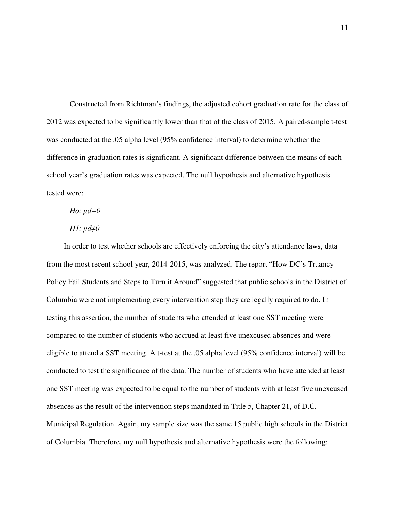Constructed from Richtman's findings, the adjusted cohort graduation rate for the class of 2012 was expected to be significantly lower than that of the class of 2015. A paired-sample t-test was conducted at the .05 alpha level (95% confidence interval) to determine whether the difference in graduation rates is significant. A significant difference between the means of each school year's graduation rates was expected. The null hypothesis and alternative hypothesis tested were:

## *Ho:*  $\mu d = 0$

### *H1: μd*≠*0*

In order to test whether schools are effectively enforcing the city's attendance laws, data from the most recent school year, 2014-2015, was analyzed. The report "How DC's Truancy Policy Fail Students and Steps to Turn it Around" suggested that public schools in the District of Columbia were not implementing every intervention step they are legally required to do. In testing this assertion, the number of students who attended at least one SST meeting were compared to the number of students who accrued at least five unexcused absences and were eligible to attend a SST meeting. A t-test at the .05 alpha level (95% confidence interval) will be conducted to test the significance of the data. The number of students who have attended at least one SST meeting was expected to be equal to the number of students with at least five unexcused absences as the result of the intervention steps mandated in Title 5, Chapter 21, of D.C. Municipal Regulation. Again, my sample size was the same 15 public high schools in the District of Columbia. Therefore, my null hypothesis and alternative hypothesis were the following: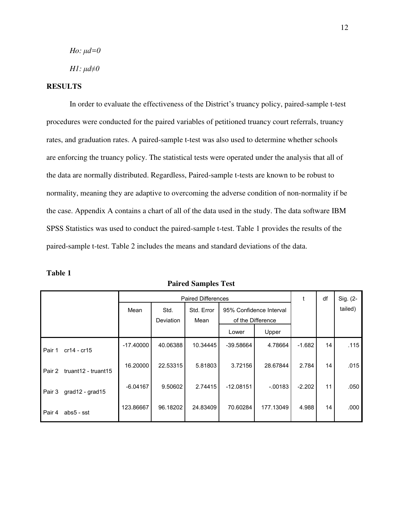*Ho:*  $\mu$ *d*=0

*H1:*  $\mu$ *d* $\neq$ *θ* 

## **RESULTS**

 In order to evaluate the effectiveness of the District's truancy policy, paired-sample t-test procedures were conducted for the paired variables of petitioned truancy court referrals, truancy rates, and graduation rates. A paired-sample t-test was also used to determine whether schools are enforcing the truancy policy. The statistical tests were operated under the analysis that all of the data are normally distributed. Regardless, Paired-sample t-tests are known to be robust to normality, meaning they are adaptive to overcoming the adverse condition of non-normality if be the case. Appendix A contains a chart of all of the data used in the study. The data software IBM SPSS Statistics was used to conduct the paired-sample t-test. Table 1 provides the results of the paired-sample t-test. Table 2 includes the means and standard deviations of the data.

| able |  |
|------|--|
|------|--|

|        |                     | <b>Paired Differences</b> |           |            |                         |           |          | df      | Sig. (2- |
|--------|---------------------|---------------------------|-----------|------------|-------------------------|-----------|----------|---------|----------|
|        |                     | Mean                      | Std.      | Std. Error | 95% Confidence Interval |           |          | tailed) |          |
|        |                     |                           | Deviation | Mean       | of the Difference       |           |          |         |          |
|        |                     |                           |           |            | Lower                   | Upper     |          |         |          |
| Pair 1 | $cr14 - cr15$       | $-17.40000$               | 40.06388  | 10.34445   | -39.58664               | 4.78664   | $-1.682$ | 14      | .115     |
| Pair 2 | truant12 - truant15 | 16.20000                  | 22.53315  | 5.81803    | 3.72156                 | 28.67844  | 2.784    | 14      | .015     |
| Pair 3 | grad12 - grad15     | $-6.04167$                | 9.50602   | 2.74415    | $-12.08151$             | $-0.0183$ | $-2.202$ | 11      | .050     |
| Pair 4 | abs5 - sst          | 123.86667                 | 96.18202  | 24.83409   | 70.60284                | 177.13049 | 4.988    | 14      | .000     |

**Paired Samples Test**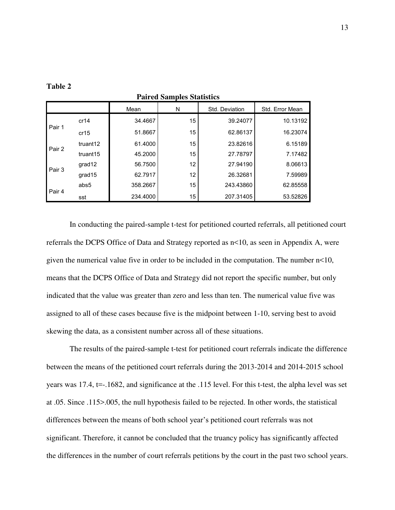|        |          | Mean     | N  | Std. Deviation | Std. Error Mean |
|--------|----------|----------|----|----------------|-----------------|
| Pair 1 | cr14     | 34.4667  | 15 | 39.24077       | 10.13192        |
|        | cr15     | 51.8667  | 15 | 62.86137       | 16.23074        |
| Pair 2 | truant12 | 61.4000  | 15 | 23.82616       | 6.15189         |
|        | truant15 | 45.2000  | 15 | 27.78797       | 7.17482         |
| Pair 3 | grad12   | 56.7500  | 12 | 27.94190       | 8.06613         |
|        | grad15   | 62.7917  | 12 | 26.32681       | 7.59989         |
| Pair 4 | abs5     | 358.2667 | 15 | 243.43860      | 62.85558        |
|        | sst      | 234.4000 | 15 | 207.31405      | 53.52826        |

**Table 2** 

**Paired Samples Statistics**

In conducting the paired-sample t-test for petitioned courted referrals, all petitioned court referrals the DCPS Office of Data and Strategy reported as n<10, as seen in Appendix A, were given the numerical value five in order to be included in the computation. The number  $n<10$ , means that the DCPS Office of Data and Strategy did not report the specific number, but only indicated that the value was greater than zero and less than ten. The numerical value five was assigned to all of these cases because five is the midpoint between 1-10, serving best to avoid skewing the data, as a consistent number across all of these situations.

 The results of the paired-sample t-test for petitioned court referrals indicate the difference between the means of the petitioned court referrals during the 2013-2014 and 2014-2015 school years was 17.4, t=-.1682, and significance at the .115 level. For this t-test, the alpha level was set at .05. Since .115>.005, the null hypothesis failed to be rejected. In other words, the statistical differences between the means of both school year's petitioned court referrals was not significant. Therefore, it cannot be concluded that the truancy policy has significantly affected the differences in the number of court referrals petitions by the court in the past two school years.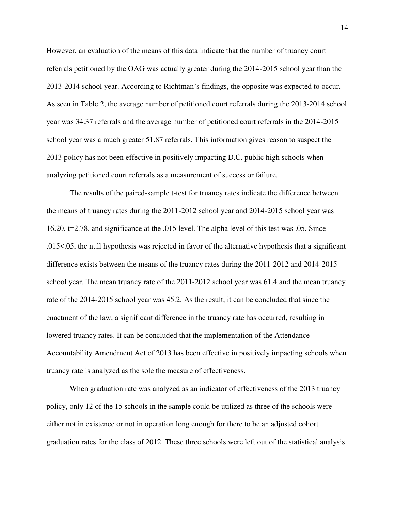However, an evaluation of the means of this data indicate that the number of truancy court referrals petitioned by the OAG was actually greater during the 2014-2015 school year than the 2013-2014 school year. According to Richtman's findings, the opposite was expected to occur. As seen in Table 2, the average number of petitioned court referrals during the 2013-2014 school year was 34.37 referrals and the average number of petitioned court referrals in the 2014-2015 school year was a much greater 51.87 referrals. This information gives reason to suspect the 2013 policy has not been effective in positively impacting D.C. public high schools when analyzing petitioned court referrals as a measurement of success or failure.

 The results of the paired-sample t-test for truancy rates indicate the difference between the means of truancy rates during the 2011-2012 school year and 2014-2015 school year was 16.20, t=2.78, and significance at the .015 level. The alpha level of this test was .05. Since .015<.05, the null hypothesis was rejected in favor of the alternative hypothesis that a significant difference exists between the means of the truancy rates during the 2011-2012 and 2014-2015 school year. The mean truancy rate of the 2011-2012 school year was 61.4 and the mean truancy rate of the 2014-2015 school year was 45.2. As the result, it can be concluded that since the enactment of the law, a significant difference in the truancy rate has occurred, resulting in lowered truancy rates. It can be concluded that the implementation of the Attendance Accountability Amendment Act of 2013 has been effective in positively impacting schools when truancy rate is analyzed as the sole the measure of effectiveness.

 When graduation rate was analyzed as an indicator of effectiveness of the 2013 truancy policy, only 12 of the 15 schools in the sample could be utilized as three of the schools were either not in existence or not in operation long enough for there to be an adjusted cohort graduation rates for the class of 2012. These three schools were left out of the statistical analysis.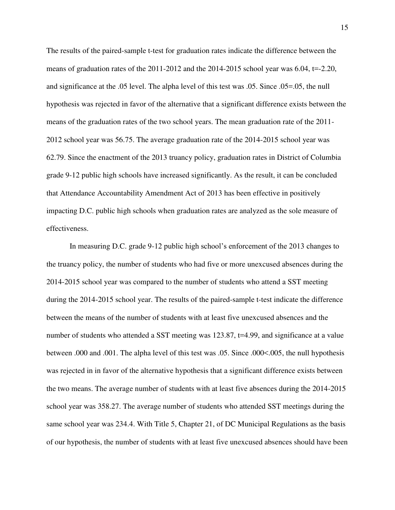The results of the paired-sample t-test for graduation rates indicate the difference between the means of graduation rates of the 2011-2012 and the 2014-2015 school year was 6.04, t=-2.20, and significance at the .05 level. The alpha level of this test was .05. Since .05=.05, the null hypothesis was rejected in favor of the alternative that a significant difference exists between the means of the graduation rates of the two school years. The mean graduation rate of the 2011- 2012 school year was 56.75. The average graduation rate of the 2014-2015 school year was 62.79. Since the enactment of the 2013 truancy policy, graduation rates in District of Columbia grade 9-12 public high schools have increased significantly. As the result, it can be concluded that Attendance Accountability Amendment Act of 2013 has been effective in positively impacting D.C. public high schools when graduation rates are analyzed as the sole measure of effectiveness.

 In measuring D.C. grade 9-12 public high school's enforcement of the 2013 changes to the truancy policy, the number of students who had five or more unexcused absences during the 2014-2015 school year was compared to the number of students who attend a SST meeting during the 2014-2015 school year. The results of the paired-sample t-test indicate the difference between the means of the number of students with at least five unexcused absences and the number of students who attended a SST meeting was 123.87, t=4.99, and significance at a value between .000 and .001. The alpha level of this test was .05. Since .000<.005, the null hypothesis was rejected in in favor of the alternative hypothesis that a significant difference exists between the two means. The average number of students with at least five absences during the 2014-2015 school year was 358.27. The average number of students who attended SST meetings during the same school year was 234.4. With Title 5, Chapter 21, of DC Municipal Regulations as the basis of our hypothesis, the number of students with at least five unexcused absences should have been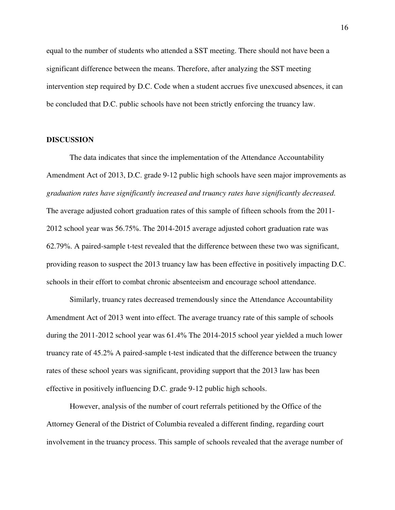equal to the number of students who attended a SST meeting. There should not have been a significant difference between the means. Therefore, after analyzing the SST meeting intervention step required by D.C. Code when a student accrues five unexcused absences, it can be concluded that D.C. public schools have not been strictly enforcing the truancy law.

#### **DISCUSSION**

 The data indicates that since the implementation of the Attendance Accountability Amendment Act of 2013, D.C. grade 9-12 public high schools have seen major improvements as *graduation rates have significantly increased and truancy rates have significantly decreased*. The average adjusted cohort graduation rates of this sample of fifteen schools from the 2011- 2012 school year was 56.75%. The 2014-2015 average adjusted cohort graduation rate was 62.79%. A paired-sample t-test revealed that the difference between these two was significant, providing reason to suspect the 2013 truancy law has been effective in positively impacting D.C. schools in their effort to combat chronic absenteeism and encourage school attendance.

Similarly, truancy rates decreased tremendously since the Attendance Accountability Amendment Act of 2013 went into effect. The average truancy rate of this sample of schools during the 2011-2012 school year was 61.4% The 2014-2015 school year yielded a much lower truancy rate of 45.2% A paired-sample t-test indicated that the difference between the truancy rates of these school years was significant, providing support that the 2013 law has been effective in positively influencing D.C. grade 9-12 public high schools.

However, analysis of the number of court referrals petitioned by the Office of the Attorney General of the District of Columbia revealed a different finding, regarding court involvement in the truancy process. This sample of schools revealed that the average number of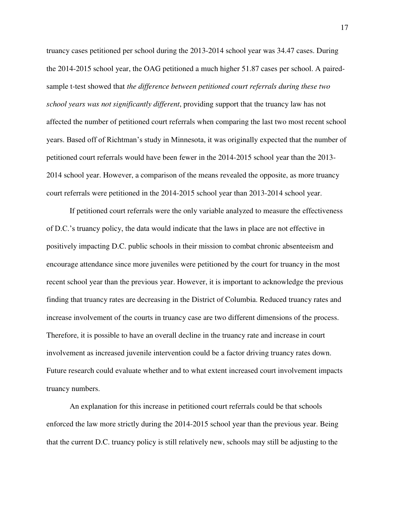truancy cases petitioned per school during the 2013-2014 school year was 34.47 cases. During the 2014-2015 school year, the OAG petitioned a much higher 51.87 cases per school. A pairedsample t-test showed that *the difference between petitioned court referrals during these two school years was not significantly different*, providing support that the truancy law has not affected the number of petitioned court referrals when comparing the last two most recent school years. Based off of Richtman's study in Minnesota, it was originally expected that the number of petitioned court referrals would have been fewer in the 2014-2015 school year than the 2013- 2014 school year. However, a comparison of the means revealed the opposite, as more truancy court referrals were petitioned in the 2014-2015 school year than 2013-2014 school year.

If petitioned court referrals were the only variable analyzed to measure the effectiveness of D.C.'s truancy policy, the data would indicate that the laws in place are not effective in positively impacting D.C. public schools in their mission to combat chronic absenteeism and encourage attendance since more juveniles were petitioned by the court for truancy in the most recent school year than the previous year. However, it is important to acknowledge the previous finding that truancy rates are decreasing in the District of Columbia. Reduced truancy rates and increase involvement of the courts in truancy case are two different dimensions of the process. Therefore, it is possible to have an overall decline in the truancy rate and increase in court involvement as increased juvenile intervention could be a factor driving truancy rates down. Future research could evaluate whether and to what extent increased court involvement impacts truancy numbers.

An explanation for this increase in petitioned court referrals could be that schools enforced the law more strictly during the 2014-2015 school year than the previous year. Being that the current D.C. truancy policy is still relatively new, schools may still be adjusting to the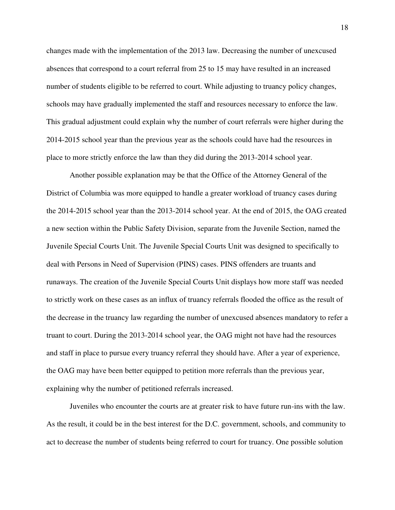changes made with the implementation of the 2013 law. Decreasing the number of unexcused absences that correspond to a court referral from 25 to 15 may have resulted in an increased number of students eligible to be referred to court. While adjusting to truancy policy changes, schools may have gradually implemented the staff and resources necessary to enforce the law. This gradual adjustment could explain why the number of court referrals were higher during the 2014-2015 school year than the previous year as the schools could have had the resources in place to more strictly enforce the law than they did during the 2013-2014 school year.

Another possible explanation may be that the Office of the Attorney General of the District of Columbia was more equipped to handle a greater workload of truancy cases during the 2014-2015 school year than the 2013-2014 school year. At the end of 2015, the OAG created a new section within the Public Safety Division, separate from the Juvenile Section, named the Juvenile Special Courts Unit. The Juvenile Special Courts Unit was designed to specifically to deal with Persons in Need of Supervision (PINS) cases. PINS offenders are truants and runaways. The creation of the Juvenile Special Courts Unit displays how more staff was needed to strictly work on these cases as an influx of truancy referrals flooded the office as the result of the decrease in the truancy law regarding the number of unexcused absences mandatory to refer a truant to court. During the 2013-2014 school year, the OAG might not have had the resources and staff in place to pursue every truancy referral they should have. After a year of experience, the OAG may have been better equipped to petition more referrals than the previous year, explaining why the number of petitioned referrals increased.

 Juveniles who encounter the courts are at greater risk to have future run-ins with the law. As the result, it could be in the best interest for the D.C. government, schools, and community to act to decrease the number of students being referred to court for truancy. One possible solution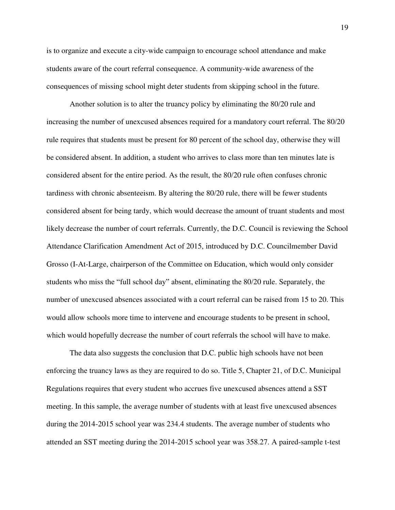is to organize and execute a city-wide campaign to encourage school attendance and make students aware of the court referral consequence. A community-wide awareness of the consequences of missing school might deter students from skipping school in the future.

 Another solution is to alter the truancy policy by eliminating the 80/20 rule and increasing the number of unexcused absences required for a mandatory court referral. The 80/20 rule requires that students must be present for 80 percent of the school day, otherwise they will be considered absent. In addition, a student who arrives to class more than ten minutes late is considered absent for the entire period. As the result, the 80/20 rule often confuses chronic tardiness with chronic absenteeism. By altering the 80/20 rule, there will be fewer students considered absent for being tardy, which would decrease the amount of truant students and most likely decrease the number of court referrals. Currently, the D.C. Council is reviewing the School Attendance Clarification Amendment Act of 2015, introduced by D.C. Councilmember David Grosso (I-At-Large, chairperson of the Committee on Education, which would only consider students who miss the "full school day" absent, eliminating the 80/20 rule. Separately, the number of unexcused absences associated with a court referral can be raised from 15 to 20. This would allow schools more time to intervene and encourage students to be present in school, which would hopefully decrease the number of court referrals the school will have to make.

The data also suggests the conclusion that D.C. public high schools have not been enforcing the truancy laws as they are required to do so. Title 5, Chapter 21, of D.C. Municipal Regulations requires that every student who accrues five unexcused absences attend a SST meeting. In this sample, the average number of students with at least five unexcused absences during the 2014-2015 school year was 234.4 students. The average number of students who attended an SST meeting during the 2014-2015 school year was 358.27. A paired-sample t-test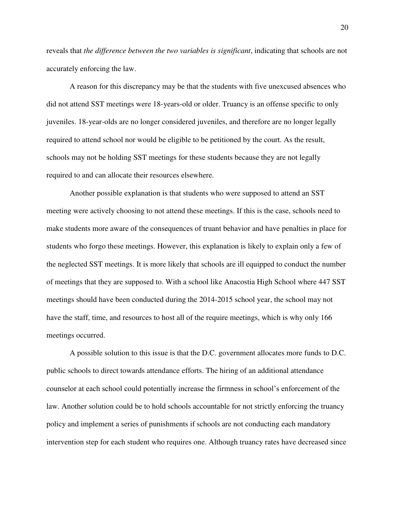reveals that *the difference between the two variables is significant*, indicating that schools are not accurately enforcing the law.

 A reason for this discrepancy may be that the students with five unexcused absences who did not attend SST meetings were 18-years-old or older. Truancy is an offense specific to only juveniles. 18-year-olds are no longer considered juveniles, and therefore are no longer legally required to attend school nor would be eligible to be petitioned by the court. As the result, schools may not be holding SST meetings for these students because they are not legally required to and can allocate their resources elsewhere.

Another possible explanation is that students who were supposed to attend an SST meeting were actively choosing to not attend these meetings. If this is the case, schools need to make students more aware of the consequences of truant behavior and have penalties in place for students who forgo these meetings. However, this explanation is likely to explain only a few of the neglected SST meetings. It is more likely that schools are ill equipped to conduct the number of meetings that they are supposed to. With a school like Anacostia High School where 447 SST meetings should have been conducted during the 2014-2015 school year, the school may not have the staff, time, and resources to host all of the require meetings, which is why only 166 meetings occurred.

A possible solution to this issue is that the D.C. government allocates more funds to D.C. public schools to direct towards attendance efforts. The hiring of an additional attendance counselor at each school could potentially increase the firmness in school's enforcement of the law. Another solution could be to hold schools accountable for not strictly enforcing the truancy policy and implement a series of punishments if schools are not conducting each mandatory intervention step for each student who requires one. Although truancy rates have decreased since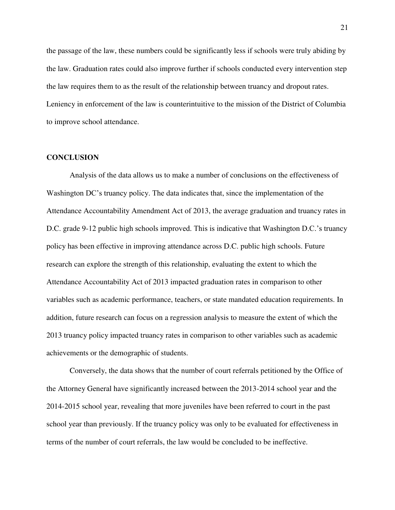the passage of the law, these numbers could be significantly less if schools were truly abiding by the law. Graduation rates could also improve further if schools conducted every intervention step the law requires them to as the result of the relationship between truancy and dropout rates. Leniency in enforcement of the law is counterintuitive to the mission of the District of Columbia to improve school attendance.

#### **CONCLUSION**

Analysis of the data allows us to make a number of conclusions on the effectiveness of Washington DC's truancy policy. The data indicates that, since the implementation of the Attendance Accountability Amendment Act of 2013, the average graduation and truancy rates in D.C. grade 9-12 public high schools improved. This is indicative that Washington D.C.'s truancy policy has been effective in improving attendance across D.C. public high schools. Future research can explore the strength of this relationship, evaluating the extent to which the Attendance Accountability Act of 2013 impacted graduation rates in comparison to other variables such as academic performance, teachers, or state mandated education requirements. In addition, future research can focus on a regression analysis to measure the extent of which the 2013 truancy policy impacted truancy rates in comparison to other variables such as academic achievements or the demographic of students.

Conversely, the data shows that the number of court referrals petitioned by the Office of the Attorney General have significantly increased between the 2013-2014 school year and the 2014-2015 school year, revealing that more juveniles have been referred to court in the past school year than previously. If the truancy policy was only to be evaluated for effectiveness in terms of the number of court referrals, the law would be concluded to be ineffective.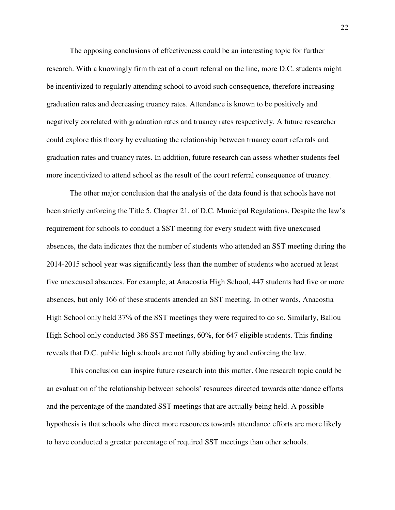The opposing conclusions of effectiveness could be an interesting topic for further research. With a knowingly firm threat of a court referral on the line, more D.C. students might be incentivized to regularly attending school to avoid such consequence, therefore increasing graduation rates and decreasing truancy rates. Attendance is known to be positively and negatively correlated with graduation rates and truancy rates respectively. A future researcher could explore this theory by evaluating the relationship between truancy court referrals and graduation rates and truancy rates. In addition, future research can assess whether students feel more incentivized to attend school as the result of the court referral consequence of truancy.

 The other major conclusion that the analysis of the data found is that schools have not been strictly enforcing the Title 5, Chapter 21, of D.C. Municipal Regulations. Despite the law's requirement for schools to conduct a SST meeting for every student with five unexcused absences, the data indicates that the number of students who attended an SST meeting during the 2014-2015 school year was significantly less than the number of students who accrued at least five unexcused absences. For example, at Anacostia High School, 447 students had five or more absences, but only 166 of these students attended an SST meeting. In other words, Anacostia High School only held 37% of the SST meetings they were required to do so. Similarly, Ballou High School only conducted 386 SST meetings, 60%, for 647 eligible students. This finding reveals that D.C. public high schools are not fully abiding by and enforcing the law.

This conclusion can inspire future research into this matter. One research topic could be an evaluation of the relationship between schools' resources directed towards attendance efforts and the percentage of the mandated SST meetings that are actually being held. A possible hypothesis is that schools who direct more resources towards attendance efforts are more likely to have conducted a greater percentage of required SST meetings than other schools.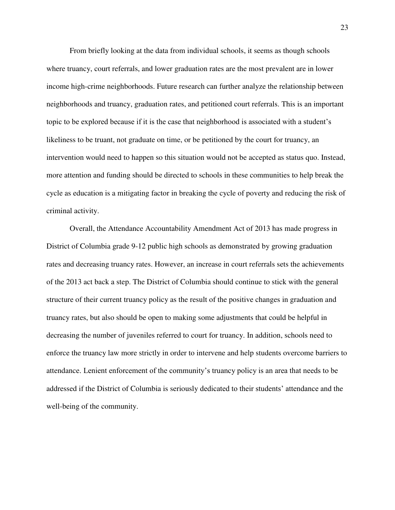From briefly looking at the data from individual schools, it seems as though schools where truancy, court referrals, and lower graduation rates are the most prevalent are in lower income high-crime neighborhoods. Future research can further analyze the relationship between neighborhoods and truancy, graduation rates, and petitioned court referrals. This is an important topic to be explored because if it is the case that neighborhood is associated with a student's likeliness to be truant, not graduate on time, or be petitioned by the court for truancy, an intervention would need to happen so this situation would not be accepted as status quo. Instead, more attention and funding should be directed to schools in these communities to help break the cycle as education is a mitigating factor in breaking the cycle of poverty and reducing the risk of criminal activity.

 Overall, the Attendance Accountability Amendment Act of 2013 has made progress in District of Columbia grade 9-12 public high schools as demonstrated by growing graduation rates and decreasing truancy rates. However, an increase in court referrals sets the achievements of the 2013 act back a step. The District of Columbia should continue to stick with the general structure of their current truancy policy as the result of the positive changes in graduation and truancy rates, but also should be open to making some adjustments that could be helpful in decreasing the number of juveniles referred to court for truancy. In addition, schools need to enforce the truancy law more strictly in order to intervene and help students overcome barriers to attendance. Lenient enforcement of the community's truancy policy is an area that needs to be addressed if the District of Columbia is seriously dedicated to their students' attendance and the well-being of the community.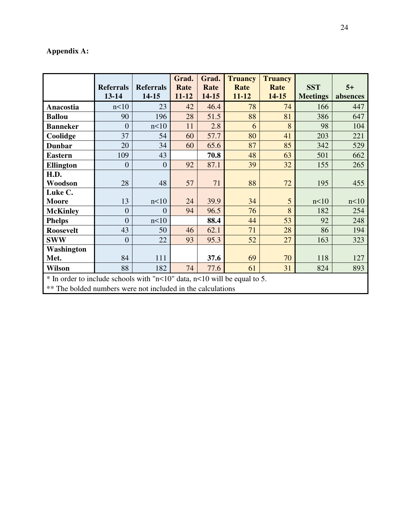# **Appendix A:**

|                                                                                                                                         | <b>Referrals</b><br>13-14 | <b>Referrals</b><br>14-15 | Grad.<br>Rate<br>$11 - 12$ | Grad.<br>Rate<br>14-15 | <b>Truancy</b><br>Rate<br>$11 - 12$ | <b>Truancy</b><br>Rate<br>14-15 | <b>SST</b><br><b>Meetings</b> | $5+$<br>absences |
|-----------------------------------------------------------------------------------------------------------------------------------------|---------------------------|---------------------------|----------------------------|------------------------|-------------------------------------|---------------------------------|-------------------------------|------------------|
| Anacostia                                                                                                                               | n<10                      | 23                        | 42                         | 46.4                   | 78                                  | 74                              | 166                           | 447              |
| <b>Ballou</b>                                                                                                                           | 90                        | 196                       | 28                         | 51.5                   | 88                                  | 81                              | 386                           | 647              |
| <b>Banneker</b>                                                                                                                         | $\overline{0}$            | n<10                      | 11                         | 2.8                    | 6                                   | 8                               | 98                            | 104              |
| Coolidge                                                                                                                                | 37                        | 54                        | 60                         | 57.7                   | 80                                  | 41                              | 203                           | 221              |
| <b>Dunbar</b>                                                                                                                           | 20                        | 34                        | 60                         | 65.6                   | 87                                  | 85                              | 342                           | 529              |
| <b>Eastern</b>                                                                                                                          | 109                       | 43                        |                            | 70.8                   | 48                                  | 63                              | 501                           | 662              |
| <b>Ellington</b>                                                                                                                        | $\overline{0}$            | $\overline{0}$            | 92                         | 87.1                   | 39                                  | 32                              | 155                           | 265              |
| H.D.                                                                                                                                    |                           |                           |                            |                        |                                     |                                 |                               |                  |
| Woodson                                                                                                                                 | 28                        | 48                        | 57                         | 71                     | 88                                  | 72                              | 195                           | 455              |
| Luke C.                                                                                                                                 |                           |                           |                            |                        |                                     |                                 |                               |                  |
| <b>Moore</b>                                                                                                                            | 13                        | n<10                      | 24                         | 39.9                   | 34                                  | 5                               | n<10                          | n<10             |
| <b>McKinley</b>                                                                                                                         | $\overline{0}$            | $\overline{0}$            | 94                         | 96.5                   | 76                                  | 8                               | 182                           | 254              |
| <b>Phelps</b>                                                                                                                           | $\overline{0}$            | n<10                      |                            | 88.4                   | 44                                  | 53                              | 92                            | 248              |
| <b>Roosevelt</b>                                                                                                                        | 43                        | 50                        | 46                         | 62.1                   | 71                                  | 28                              | 86                            | 194              |
| <b>SWW</b>                                                                                                                              | $\overline{0}$            | 22                        | 93                         | 95.3                   | 52                                  | 27                              | 163                           | 323              |
| Washington                                                                                                                              |                           |                           |                            |                        |                                     |                                 |                               |                  |
| Met.                                                                                                                                    | 84                        | 111                       |                            | 37.6                   | 69                                  | 70                              | 118                           | 127              |
| <b>Wilson</b>                                                                                                                           | 88                        | 182                       | 74                         | 77.6                   | 61                                  | 31                              | 824                           | 893              |
| * In order to include schools with "n<10" data, n<10 will be equal to 5.<br>** The bolded numbers were not included in the calculations |                           |                           |                            |                        |                                     |                                 |                               |                  |